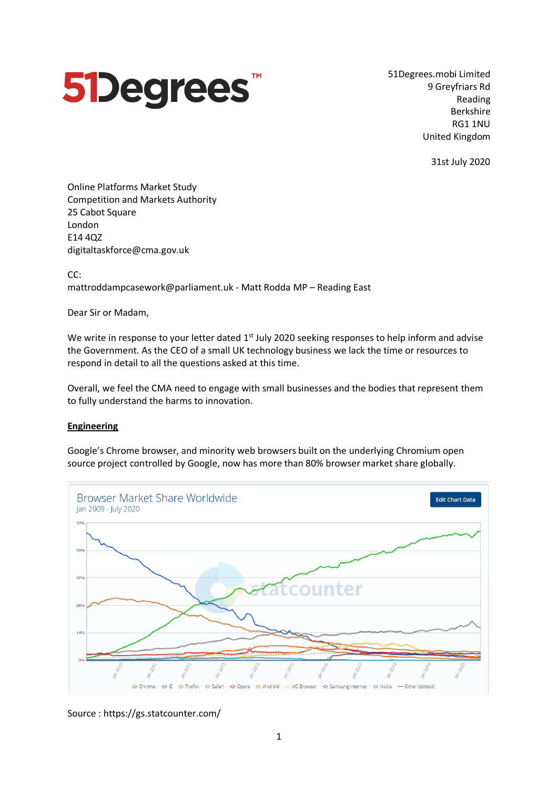

51Degrees.mobi Limited 9 Greyfriars Rd Reading Berkshire RG1 1NU United Kingdom

31st July 2020

Online Platforms Market Study Competition and Markets Authority 25 Cabot Square London E14 4QZ digitaltaskforce@cma.gov.uk

CC:

mattroddampcasework@parliament.uk - Matt Rodda MP – Reading East

Dear Sir or Madam,

We write in response to your letter dated 1<sup>st</sup> July 2020 seeking responses to help inform and advise the Government. As the CEO of a small UK technology business we lack the time or resources to respond in detail to all the questions asked at this time.

Overall, we feel the CMA need to engage with small businesses and the bodies that represent them to fully understand the harms to innovation.

## **Engineering**

Google's Chrome browser, and minority web browsers built on the underlying Chromium open source project controlled by Google, now has more than 80% browser market share globally.



Source : https://gs.statcounter.com/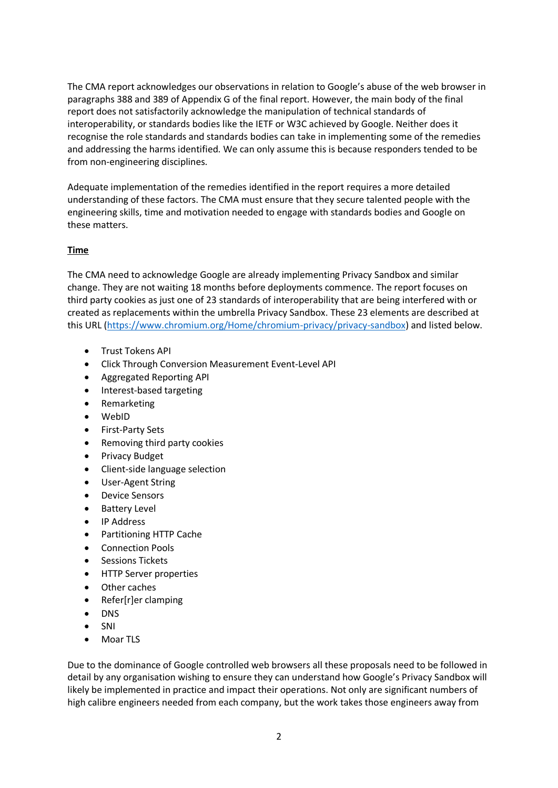The CMA report acknowledges our observations in relation to Google's abuse of the web browser in paragraphs 388 and 389 of Appendix G of the final report. However, the main body of the final report does not satisfactorily acknowledge the manipulation of technical standards of interoperability, or standards bodies like the IETF or W3C achieved by Google. Neither does it recognise the role standards and standards bodies can take in implementing some of the remedies and addressing the harms identified. We can only assume this is because responders tended to be from non-engineering disciplines.

Adequate implementation of the remedies identified in the report requires a more detailed understanding of these factors. The CMA must ensure that they secure talented people with the engineering skills, time and motivation needed to engage with standards bodies and Google on these matters.

## **Time**

The CMA need to acknowledge Google are already implementing Privacy Sandbox and similar change. They are not waiting 18 months before deployments commence. The report focuses on third party cookies as just one of 23 standards of interoperability that are being interfered with or created as replacements within the umbrella Privacy Sandbox. These 23 elements are described at this URL [\(https://www.chromium.org/Home/chromium-privacy/privacy-sandbox\)](https://www.chromium.org/Home/chromium-privacy/privacy-sandbox) and listed below.

- Trust Tokens API
- Click Through Conversion Measurement Event-Level API
- Aggregated Reporting API
- Interest-based targeting
- Remarketing
- WebID
- First-Party Sets
- Removing third party cookies
- Privacy Budget
- Client-side language selection
- User-Agent String
- Device Sensors
- Battery Level
- IP Address
- Partitioning HTTP Cache
- Connection Pools
- Sessions Tickets
- HTTP Server properties
- Other caches
- Refer[r]er clamping
- DNS
- SNI
- Moar TLS

Due to the dominance of Google controlled web browsers all these proposals need to be followed in detail by any organisation wishing to ensure they can understand how Google's Privacy Sandbox will likely be implemented in practice and impact their operations. Not only are significant numbers of high calibre engineers needed from each company, but the work takes those engineers away from